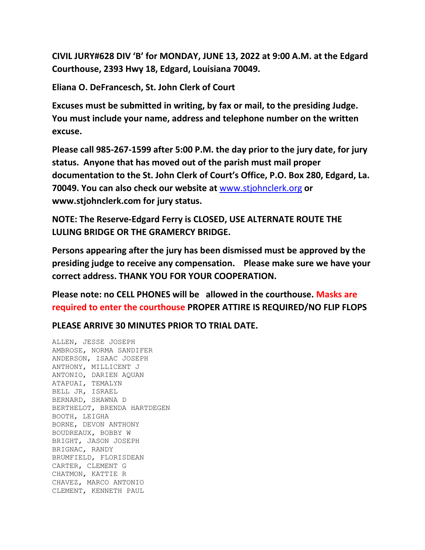**CIVIL JURY#628 DIV 'B' for MONDAY, JUNE 13, 2022 at 9:00 A.M. at the Edgard Courthouse, 2393 Hwy 18, Edgard, Louisiana 70049.**

**Eliana O. DeFrancesch, St. John Clerk of Court**

**Excuses must be submitted in writing, by fax or mail, to the presiding Judge. You must include your name, address and telephone number on the written excuse.**

**Please call 985-267-1599 after 5:00 P.M. the day prior to the jury date, for jury status. Anyone that has moved out of the parish must mail proper documentation to the St. John Clerk of Court's Office, P.O. Box 280, Edgard, La. 70049. You can also check our website at** [www.stjohnclerk.org](http://www.stjohnclerk.org/) **or www.stjohnclerk.com for jury status.**

**NOTE: The Reserve-Edgard Ferry is CLOSED, USE ALTERNATE ROUTE THE LULING BRIDGE OR THE GRAMERCY BRIDGE.**

**Persons appearing after the jury has been dismissed must be approved by the presiding judge to receive any compensation. Please make sure we have your correct address. THANK YOU FOR YOUR COOPERATION.**

**Please note: no CELL PHONES will be allowed in the courthouse. Masks are required to enter the courthouse PROPER ATTIRE IS REQUIRED/NO FLIP FLOPS**

**PLEASE ARRIVE 30 MINUTES PRIOR TO TRIAL DATE.**

ALLEN, JESSE JOSEPH AMBROSE, NORMA SANDIFER ANDERSON, ISAAC JOSEPH ANTHONY, MILLICENT J ANTONIO, DARIEN AQUAN ATAPUAI, TEMALYN BELL JR, ISRAEL BERNARD, SHAWNA D BERTHELOT, BRENDA HARTDEGEN BOOTH, LEIGHA BORNE, DEVON ANTHONY BOUDREAUX, BOBBY W BRIGHT, JASON JOSEPH BRIGNAC, RANDY BRUMFIELD, FLORISDEAN CARTER, CLEMENT G CHATMON, KATTIE R CHAVEZ, MARCO ANTONIO CLEMENT, KENNETH PAUL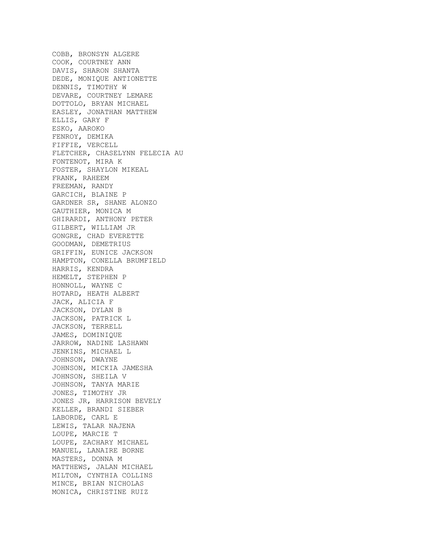COBB, BRONSYN ALGERE COOK, COURTNEY ANN DAVIS, SHARON SHANTA DEDE, MONIQUE ANTIONETTE DENNIS, TIMOTHY W DEVARE, COURTNEY LEMARE DOTTOLO, BRYAN MICHAEL EASLEY, JONATHAN MATTHEW ELLIS, GARY F ESKO, AAROKO FENROY, DEMIKA FIFFIE, VERCELL FLETCHER, CHASELYNN FELECIA AU FONTENOT, MIRA K FOSTER, SHAYLON MIKEAL FRANK, RAHEEM FREEMAN, RANDY GARCICH, BLAINE P GARDNER SR, SHANE ALONZO GAUTHIER, MONICA M GHIRARDI, ANTHONY PETER GILBERT, WILLIAM JR GONGRE, CHAD EVERETTE GOODMAN, DEMETRIUS GRIFFIN, EUNICE JACKSON HAMPTON, CONELLA BRUMFIELD HARRIS, KENDRA HEMELT, STEPHEN P HONNOLL, WAYNE C HOTARD, HEATH ALBERT JACK, ALICIA F JACKSON, DYLAN B JACKSON, PATRICK L JACKSON, TERRELL JAMES, DOMINIQUE JARROW, NADINE LASHAWN JENKINS, MICHAEL L JOHNSON, DWAYNE JOHNSON, MICKIA JAMESHA JOHNSON, SHEILA V JOHNSON, TANYA MARIE JONES, TIMOTHY JR JONES JR, HARRISON BEVELY KELLER, BRANDI SIEBER LABORDE, CARL E LEWIS, TALAR NAJENA LOUPE, MARCIE T LOUPE, ZACHARY MICHAEL MANUEL, LANAIRE BORNE MASTERS, DONNA M MATTHEWS, JALAN MICHAEL MILTON, CYNTHIA COLLINS MINCE, BRIAN NICHOLAS MONICA, CHRISTINE RUIZ